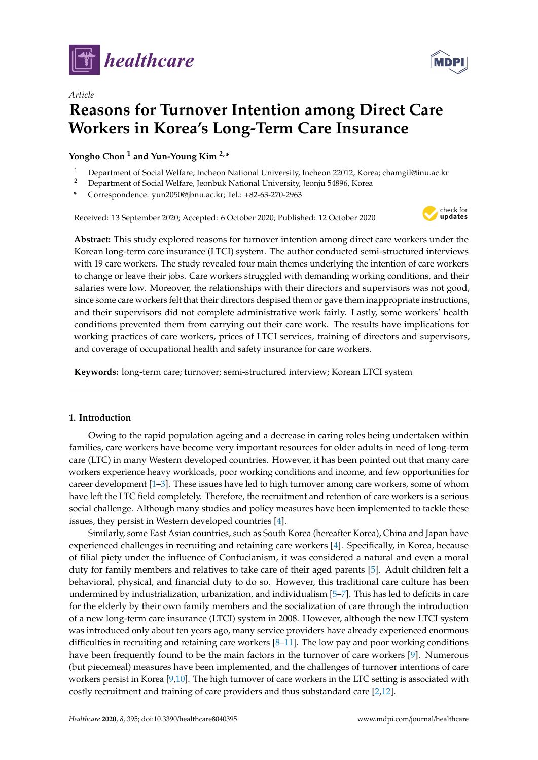



# *Article* **Reasons for Turnover Intention among Direct Care Workers in Korea's Long-Term Care Insurance**

**Yongho Chon <sup>1</sup> and Yun-Young Kim 2,\***

- <sup>1</sup> Department of Social Welfare, Incheon National University, Incheon 22012, Korea; chamgil@inu.ac.kr
- <sup>2</sup> Department of Social Welfare, Jeonbuk National University, Jeonju 54896, Korea
- **\*** Correspondence: yun2050@jbnu.ac.kr; Tel.: +82-63-270-2963

Received: 13 September 2020; Accepted: 6 October 2020; Published: 12 October 2020



**Abstract:** This study explored reasons for turnover intention among direct care workers under the Korean long-term care insurance (LTCI) system. The author conducted semi-structured interviews with 19 care workers. The study revealed four main themes underlying the intention of care workers to change or leave their jobs. Care workers struggled with demanding working conditions, and their salaries were low. Moreover, the relationships with their directors and supervisors was not good, since some care workers felt that their directors despised them or gave them inappropriate instructions, and their supervisors did not complete administrative work fairly. Lastly, some workers' health conditions prevented them from carrying out their care work. The results have implications for working practices of care workers, prices of LTCI services, training of directors and supervisors, and coverage of occupational health and safety insurance for care workers.

**Keywords:** long-term care; turnover; semi-structured interview; Korean LTCI system

# **1. Introduction**

Owing to the rapid population ageing and a decrease in caring roles being undertaken within families, care workers have become very important resources for older adults in need of long-term care (LTC) in many Western developed countries. However, it has been pointed out that many care workers experience heavy workloads, poor working conditions and income, and few opportunities for career development [\[1](#page-8-0)[–3\]](#page-8-1). These issues have led to high turnover among care workers, some of whom have left the LTC field completely. Therefore, the recruitment and retention of care workers is a serious social challenge. Although many studies and policy measures have been implemented to tackle these issues, they persist in Western developed countries [\[4\]](#page-8-2).

Similarly, some East Asian countries, such as South Korea (hereafter Korea), China and Japan have experienced challenges in recruiting and retaining care workers [\[4\]](#page-8-2). Specifically, in Korea, because of filial piety under the influence of Confucianism, it was considered a natural and even a moral duty for family members and relatives to take care of their aged parents [\[5\]](#page-8-3). Adult children felt a behavioral, physical, and financial duty to do so. However, this traditional care culture has been undermined by industrialization, urbanization, and individualism [\[5](#page-8-3)[–7\]](#page-9-0). This has led to deficits in care for the elderly by their own family members and the socialization of care through the introduction of a new long-term care insurance (LTCI) system in 2008. However, although the new LTCI system was introduced only about ten years ago, many service providers have already experienced enormous difficulties in recruiting and retaining care workers  $[8-11]$  $[8-11]$ . The low pay and poor working conditions have been frequently found to be the main factors in the turnover of care workers [\[9\]](#page-9-3). Numerous (but piecemeal) measures have been implemented, and the challenges of turnover intentions of care workers persist in Korea [\[9,](#page-9-3)[10\]](#page-9-4). The high turnover of care workers in the LTC setting is associated with costly recruitment and training of care providers and thus substandard care [\[2](#page-8-4)[,12\]](#page-9-5).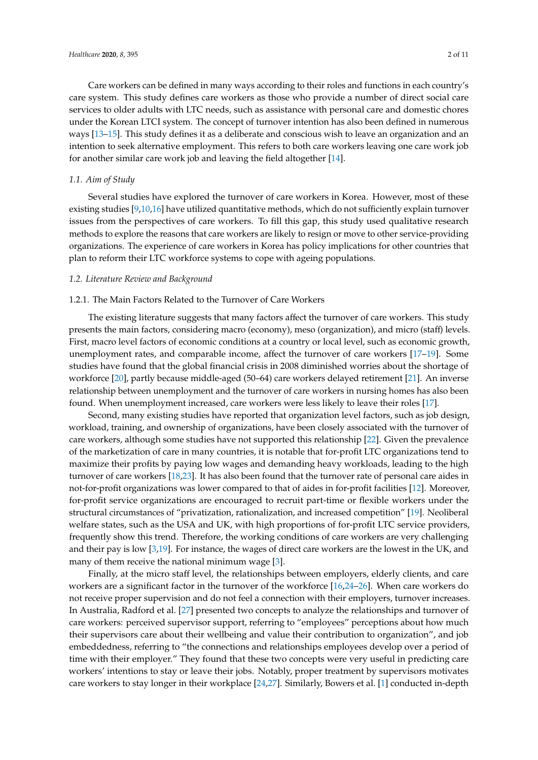Care workers can be defined in many ways according to their roles and functions in each country's care system. This study defines care workers as those who provide a number of direct social care services to older adults with LTC needs, such as assistance with personal care and domestic chores under the Korean LTCI system. The concept of turnover intention has also been defined in numerous ways [\[13–](#page-9-6)[15\]](#page-9-7). This study defines it as a deliberate and conscious wish to leave an organization and an intention to seek alternative employment. This refers to both care workers leaving one care work job for another similar care work job and leaving the field altogether [\[14\]](#page-9-8).

#### *1.1. Aim of Study*

Several studies have explored the turnover of care workers in Korea. However, most of these existing studies [\[9,](#page-9-3)[10](#page-9-4)[,16\]](#page-9-9) have utilized quantitative methods, which do not sufficiently explain turnover issues from the perspectives of care workers. To fill this gap, this study used qualitative research methods to explore the reasons that care workers are likely to resign or move to other service-providing organizations. The experience of care workers in Korea has policy implications for other countries that plan to reform their LTC workforce systems to cope with ageing populations.

#### *1.2. Literature Review and Background*

#### 1.2.1. The Main Factors Related to the Turnover of Care Workers

The existing literature suggests that many factors affect the turnover of care workers. This study presents the main factors, considering macro (economy), meso (organization), and micro (staff) levels. First, macro level factors of economic conditions at a country or local level, such as economic growth, unemployment rates, and comparable income, affect the turnover of care workers [\[17](#page-9-10)[–19\]](#page-9-11). Some studies have found that the global financial crisis in 2008 diminished worries about the shortage of workforce [\[20\]](#page-9-12), partly because middle-aged (50–64) care workers delayed retirement [\[21\]](#page-9-13). An inverse relationship between unemployment and the turnover of care workers in nursing homes has also been found. When unemployment increased, care workers were less likely to leave their roles [\[17\]](#page-9-10).

Second, many existing studies have reported that organization level factors, such as job design, workload, training, and ownership of organizations, have been closely associated with the turnover of care workers, although some studies have not supported this relationship [\[22\]](#page-9-14). Given the prevalence of the marketization of care in many countries, it is notable that for-profit LTC organizations tend to maximize their profits by paying low wages and demanding heavy workloads, leading to the high turnover of care workers [\[18,](#page-9-15)[23\]](#page-9-16). It has also been found that the turnover rate of personal care aides in not-for-profit organizations was lower compared to that of aides in for-profit facilities [\[12\]](#page-9-5). Moreover, for-profit service organizations are encouraged to recruit part-time or flexible workers under the structural circumstances of "privatization, rationalization, and increased competition" [\[19\]](#page-9-11). Neoliberal welfare states, such as the USA and UK, with high proportions of for-profit LTC service providers, frequently show this trend. Therefore, the working conditions of care workers are very challenging and their pay is low [\[3,](#page-8-1)[19\]](#page-9-11). For instance, the wages of direct care workers are the lowest in the UK, and many of them receive the national minimum wage [\[3\]](#page-8-1).

Finally, at the micro staff level, the relationships between employers, elderly clients, and care workers are a significant factor in the turnover of the workforce [\[16,](#page-9-9)[24–](#page-9-17)[26\]](#page-9-18). When care workers do not receive proper supervision and do not feel a connection with their employers, turnover increases. In Australia, Radford et al. [\[27\]](#page-9-19) presented two concepts to analyze the relationships and turnover of care workers: perceived supervisor support, referring to "employees" perceptions about how much their supervisors care about their wellbeing and value their contribution to organization", and job embeddedness, referring to "the connections and relationships employees develop over a period of time with their employer." They found that these two concepts were very useful in predicting care workers' intentions to stay or leave their jobs. Notably, proper treatment by supervisors motivates care workers to stay longer in their workplace [\[24,](#page-9-17)[27\]](#page-9-19). Similarly, Bowers et al. [\[1\]](#page-8-0) conducted in-depth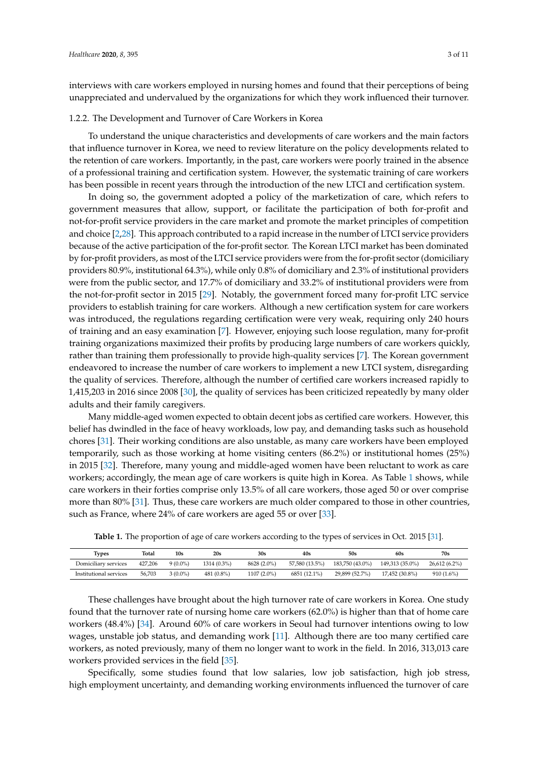interviews with care workers employed in nursing homes and found that their perceptions of being unappreciated and undervalued by the organizations for which they work influenced their turnover.

## 1.2.2. The Development and Turnover of Care Workers in Korea

To understand the unique characteristics and developments of care workers and the main factors that influence turnover in Korea, we need to review literature on the policy developments related to the retention of care workers. Importantly, in the past, care workers were poorly trained in the absence of a professional training and certification system. However, the systematic training of care workers has been possible in recent years through the introduction of the new LTCI and certification system.

In doing so, the government adopted a policy of the marketization of care, which refers to government measures that allow, support, or facilitate the participation of both for-profit and not-for-profit service providers in the care market and promote the market principles of competition and choice [\[2](#page-8-4)[,28\]](#page-9-20). This approach contributed to a rapid increase in the number of LTCI service providers because of the active participation of the for-profit sector. The Korean LTCI market has been dominated by for-profit providers, as most of the LTCI service providers were from the for-profit sector (domiciliary providers 80.9%, institutional 64.3%), while only 0.8% of domiciliary and 2.3% of institutional providers were from the public sector, and 17.7% of domiciliary and 33.2% of institutional providers were from the not-for-profit sector in 2015 [\[29\]](#page-9-21). Notably, the government forced many for-profit LTC service providers to establish training for care workers. Although a new certification system for care workers was introduced, the regulations regarding certification were very weak, requiring only 240 hours of training and an easy examination [\[7\]](#page-9-0). However, enjoying such loose regulation, many for-profit training organizations maximized their profits by producing large numbers of care workers quickly, rather than training them professionally to provide high-quality services [\[7\]](#page-9-0). The Korean government endeavored to increase the number of care workers to implement a new LTCI system, disregarding the quality of services. Therefore, although the number of certified care workers increased rapidly to 1,415,203 in 2016 since 2008 [\[30\]](#page-10-0), the quality of services has been criticized repeatedly by many older adults and their family caregivers.

Many middle-aged women expected to obtain decent jobs as certified care workers. However, this belief has dwindled in the face of heavy workloads, low pay, and demanding tasks such as household chores [\[31\]](#page-10-1). Their working conditions are also unstable, as many care workers have been employed temporarily, such as those working at home visiting centers (86.2%) or institutional homes (25%) in 2015 [\[32\]](#page-10-2). Therefore, many young and middle-aged women have been reluctant to work as care workers; accordingly, the mean age of care workers is quite high in Korea. As Table [1](#page-2-0) shows, while care workers in their forties comprise only 13.5% of all care workers, those aged 50 or over comprise more than 80% [\[31\]](#page-10-1). Thus, these care workers are much older compared to those in other countries, such as France, where 24% of care workers are aged 55 or over [\[33\]](#page-10-3).

<span id="page-2-0"></span>

| <b>Types</b>           | Total   | $10\mathrm{s}$ | 20s         | 30s         | 40s            | 50s             | 60s             | 70s             |
|------------------------|---------|----------------|-------------|-------------|----------------|-----------------|-----------------|-----------------|
| Domiciliary services   | 427.206 | $9(0.0\%)$     | 1314 (0.3%) | 8628 (2.0%) | 57.580 (13.5%) | 183.750 (43.0%) | 149.313 (35.0%) | $26.612(6.2\%)$ |
| Institutional services | 56.703  | $3(0.0\%)$     | 481 (0.8%)  | 1107 (2.0%) | 6851 (12.1%)   | 29.899 (52.7%)  | 17.452 (30.8%)  | $910(1.6\%)$    |

**Table 1.** The proportion of age of care workers according to the types of services in Oct. 2015 [\[31\]](#page-10-1).

These challenges have brought about the high turnover rate of care workers in Korea. One study found that the turnover rate of nursing home care workers (62.0%) is higher than that of home care workers (48.4%) [\[34\]](#page-10-4). Around 60% of care workers in Seoul had turnover intentions owing to low wages, unstable job status, and demanding work [\[11\]](#page-9-2). Although there are too many certified care workers, as noted previously, many of them no longer want to work in the field. In 2016, 313,013 care workers provided services in the field [\[35\]](#page-10-5).

Specifically, some studies found that low salaries, low job satisfaction, high job stress, high employment uncertainty, and demanding working environments influenced the turnover of care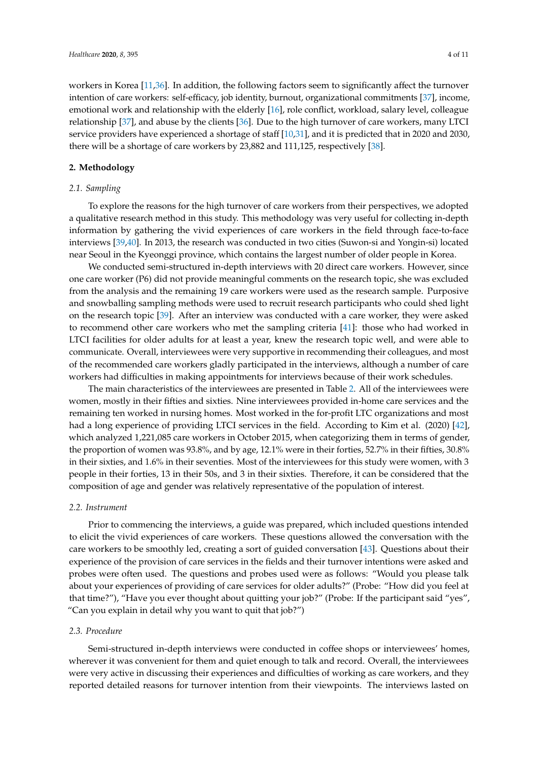workers in Korea [\[11](#page-9-2)[,36\]](#page-10-6). In addition, the following factors seem to significantly affect the turnover intention of care workers: self-efficacy, job identity, burnout, organizational commitments [\[37\]](#page-10-7), income, emotional work and relationship with the elderly [\[16\]](#page-9-9), role conflict, workload, salary level, colleague relationship [\[37\]](#page-10-7), and abuse by the clients [\[36\]](#page-10-6). Due to the high turnover of care workers, many LTCI service providers have experienced a shortage of staff [\[10](#page-9-4)[,31\]](#page-10-1), and it is predicted that in 2020 and 2030, there will be a shortage of care workers by 23,882 and 111,125, respectively [\[38\]](#page-10-8).

## **2. Methodology**

#### *2.1. Sampling*

To explore the reasons for the high turnover of care workers from their perspectives, we adopted a qualitative research method in this study. This methodology was very useful for collecting in-depth information by gathering the vivid experiences of care workers in the field through face-to-face interviews [\[39](#page-10-9)[,40\]](#page-10-10). In 2013, the research was conducted in two cities (Suwon-si and Yongin-si) located near Seoul in the Kyeonggi province, which contains the largest number of older people in Korea.

We conducted semi-structured in-depth interviews with 20 direct care workers. However, since one care worker (P6) did not provide meaningful comments on the research topic, she was excluded from the analysis and the remaining 19 care workers were used as the research sample. Purposive and snowballing sampling methods were used to recruit research participants who could shed light on the research topic [\[39\]](#page-10-9). After an interview was conducted with a care worker, they were asked to recommend other care workers who met the sampling criteria [\[41\]](#page-10-11): those who had worked in LTCI facilities for older adults for at least a year, knew the research topic well, and were able to communicate. Overall, interviewees were very supportive in recommending their colleagues, and most of the recommended care workers gladly participated in the interviews, although a number of care workers had difficulties in making appointments for interviews because of their work schedules.

The main characteristics of the interviewees are presented in Table [2.](#page-4-0) All of the interviewees were women, mostly in their fifties and sixties. Nine interviewees provided in-home care services and the remaining ten worked in nursing homes. Most worked in the for-profit LTC organizations and most had a long experience of providing LTCI services in the field. According to Kim et al. (2020) [\[42\]](#page-10-12), which analyzed 1,221,085 care workers in October 2015, when categorizing them in terms of gender, the proportion of women was 93.8%, and by age, 12.1% were in their forties, 52.7% in their fifties, 30.8% in their sixties, and 1.6% in their seventies. Most of the interviewees for this study were women, with 3 people in their forties, 13 in their 50s, and 3 in their sixties. Therefore, it can be considered that the composition of age and gender was relatively representative of the population of interest.

# *2.2. Instrument*

Prior to commencing the interviews, a guide was prepared, which included questions intended to elicit the vivid experiences of care workers. These questions allowed the conversation with the care workers to be smoothly led, creating a sort of guided conversation [\[43\]](#page-10-13). Questions about their experience of the provision of care services in the fields and their turnover intentions were asked and probes were often used. The questions and probes used were as follows: "Would you please talk about your experiences of providing of care services for older adults?" (Probe: "How did you feel at that time?"), "Have you ever thought about quitting your job?" (Probe: If the participant said "yes", "Can you explain in detail why you want to quit that job?")

#### *2.3. Procedure*

Semi-structured in-depth interviews were conducted in coffee shops or interviewees' homes, wherever it was convenient for them and quiet enough to talk and record. Overall, the interviewees were very active in discussing their experiences and difficulties of working as care workers, and they reported detailed reasons for turnover intention from their viewpoints. The interviews lasted on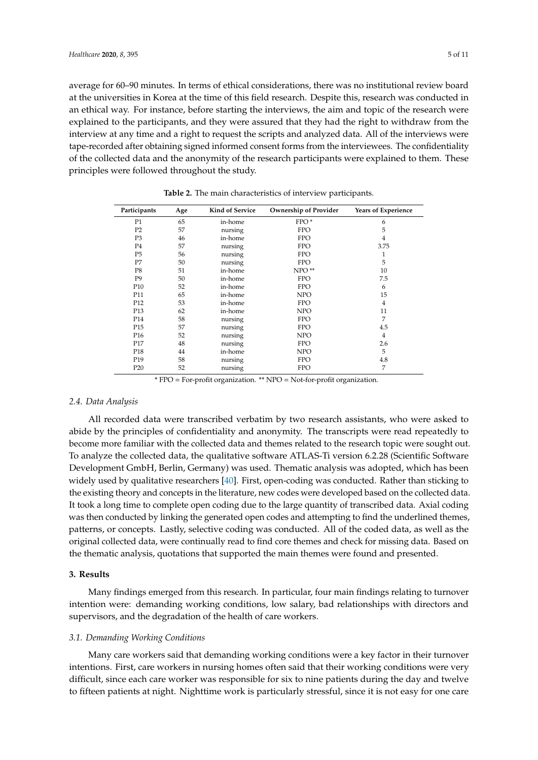average for 60–90 minutes. In terms of ethical considerations, there was no institutional review board at the universities in Korea at the time of this field research. Despite this, research was conducted in an ethical way. For instance, before starting the interviews, the aim and topic of the research were explained to the participants, and they were assured that they had the right to withdraw from the interview at any time and a right to request the scripts and analyzed data. All of the interviews were tape-recorded after obtaining signed informed consent forms from the interviewees. The confidentiality of the collected data and the anonymity of the research participants were explained to them. These principles were followed throughout the study.

<span id="page-4-0"></span>

| Participants    | Age | <b>Kind of Service</b> | <b>Ownership of Provider</b> | <b>Years of Experience</b> |
|-----------------|-----|------------------------|------------------------------|----------------------------|
| P1              | 65  | in-home                | $FPO*$                       | 6                          |
| P2              | 57  | nursing                | <b>FPO</b>                   | 5                          |
| P <sub>3</sub>  | 46  | in-home                | <b>FPO</b>                   | 4                          |
| P <sub>4</sub>  | 57  | nursing                | <b>FPO</b>                   | 3.75                       |
| P <sub>5</sub>  | 56  | nursing                | <b>FPO</b>                   | 1                          |
| P7              | 50  | nursing                | <b>FPO</b>                   | 5                          |
| P8              | 51  | in-home                | $NPO**$                      | 10                         |
| P <sub>9</sub>  | 50  | in-home                | <b>FPO</b>                   | 7.5                        |
| P <sub>10</sub> | 52  | in-home                | <b>FPO</b>                   | 6                          |
| P11             | 65  | in-home                | <b>NPO</b>                   | 15                         |
| P <sub>12</sub> | 53  | in-home                | <b>FPO</b>                   | $\overline{4}$             |
| P13             | 62  | in-home                | <b>NPO</b>                   | 11                         |
| P <sub>14</sub> | 58  | nursing                | <b>FPO</b>                   | 7                          |
| P <sub>15</sub> | 57  | nursing                | <b>FPO</b>                   | 4.5                        |
| P <sub>16</sub> | 52  | nursing                | <b>NPO</b>                   | $\overline{4}$             |
| P <sub>17</sub> | 48  | nursing                | <b>FPO</b>                   | 2.6                        |
| P <sub>18</sub> | 44  | in-home                | <b>NPO</b>                   | 5                          |
| P <sub>19</sub> | 58  | nursing                | <b>FPO</b>                   | 4.8                        |
| P <sub>20</sub> | 52  | nursing                | <b>FPO</b>                   | 7                          |

**Table 2.** The main characteristics of interview participants.

\* FPO = For-profit organization. \*\* NPO = Not-for-profit organization.

#### *2.4. Data Analysis*

All recorded data were transcribed verbatim by two research assistants, who were asked to abide by the principles of confidentiality and anonymity. The transcripts were read repeatedly to become more familiar with the collected data and themes related to the research topic were sought out. To analyze the collected data, the qualitative software ATLAS-Ti version 6.2.28 (Scientific Software Development GmbH, Berlin, Germany) was used. Thematic analysis was adopted, which has been widely used by qualitative researchers [\[40\]](#page-10-10). First, open-coding was conducted. Rather than sticking to the existing theory and concepts in the literature, new codes were developed based on the collected data. It took a long time to complete open coding due to the large quantity of transcribed data. Axial coding was then conducted by linking the generated open codes and attempting to find the underlined themes, patterns, or concepts. Lastly, selective coding was conducted. All of the coded data, as well as the original collected data, were continually read to find core themes and check for missing data. Based on the thematic analysis, quotations that supported the main themes were found and presented.

#### **3. Results**

Many findings emerged from this research. In particular, four main findings relating to turnover intention were: demanding working conditions, low salary, bad relationships with directors and supervisors, and the degradation of the health of care workers.

#### *3.1. Demanding Working Conditions*

Many care workers said that demanding working conditions were a key factor in their turnover intentions. First, care workers in nursing homes often said that their working conditions were very difficult, since each care worker was responsible for six to nine patients during the day and twelve to fifteen patients at night. Nighttime work is particularly stressful, since it is not easy for one care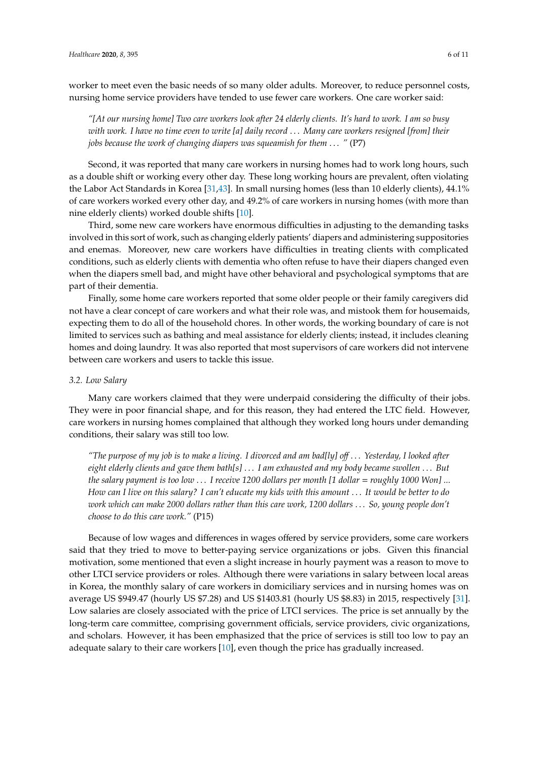worker to meet even the basic needs of so many older adults. Moreover, to reduce personnel costs, nursing home service providers have tended to use fewer care workers. One care worker said:

*"[At our nursing home] Two care workers look after 24 elderly clients. It's hard to work. I am so busy with work. I have no time even to write [a] daily record* . . . *Many care workers resigned [from] their jobs because the work of changing diapers was squeamish for them* . . . *"* (P7)

Second, it was reported that many care workers in nursing homes had to work long hours, such as a double shift or working every other day. These long working hours are prevalent, often violating the Labor Act Standards in Korea [\[31,](#page-10-1)[43\]](#page-10-13). In small nursing homes (less than 10 elderly clients), 44.1% of care workers worked every other day, and 49.2% of care workers in nursing homes (with more than nine elderly clients) worked double shifts [\[10\]](#page-9-4).

Third, some new care workers have enormous difficulties in adjusting to the demanding tasks involved in this sort of work, such as changing elderly patients' diapers and administering suppositories and enemas. Moreover, new care workers have difficulties in treating clients with complicated conditions, such as elderly clients with dementia who often refuse to have their diapers changed even when the diapers smell bad, and might have other behavioral and psychological symptoms that are part of their dementia.

Finally, some home care workers reported that some older people or their family caregivers did not have a clear concept of care workers and what their role was, and mistook them for housemaids, expecting them to do all of the household chores. In other words, the working boundary of care is not limited to services such as bathing and meal assistance for elderly clients; instead, it includes cleaning homes and doing laundry. It was also reported that most supervisors of care workers did not intervene between care workers and users to tackle this issue.

## *3.2. Low Salary*

Many care workers claimed that they were underpaid considering the difficulty of their jobs. They were in poor financial shape, and for this reason, they had entered the LTC field. However, care workers in nursing homes complained that although they worked long hours under demanding conditions, their salary was still too low.

*"The purpose of my job is to make a living. I divorced and am bad[ly] o*ff . . . *Yesterday, I looked after eight elderly clients and gave them bath[s]* . . . *I am exhausted and my body became swollen* . . . *But the salary payment is too low* . . . *I receive 1200 dollars per month [1 dollar* = *roughly 1000 Won] ... How can I live on this salary? I can't educate my kids with this amount* . . . *It would be better to do work which can make 2000 dollars rather than this care work, 1200 dollars* . . . *So, young people don't choose to do this care work."* (P15)

Because of low wages and differences in wages offered by service providers, some care workers said that they tried to move to better-paying service organizations or jobs. Given this financial motivation, some mentioned that even a slight increase in hourly payment was a reason to move to other LTCI service providers or roles. Although there were variations in salary between local areas in Korea, the monthly salary of care workers in domiciliary services and in nursing homes was on average US \$949.47 (hourly US \$7.28) and US \$1403.81 (hourly US \$8.83) in 2015, respectively [\[31\]](#page-10-1). Low salaries are closely associated with the price of LTCI services. The price is set annually by the long-term care committee, comprising government officials, service providers, civic organizations, and scholars. However, it has been emphasized that the price of services is still too low to pay an adequate salary to their care workers [\[10\]](#page-9-4), even though the price has gradually increased.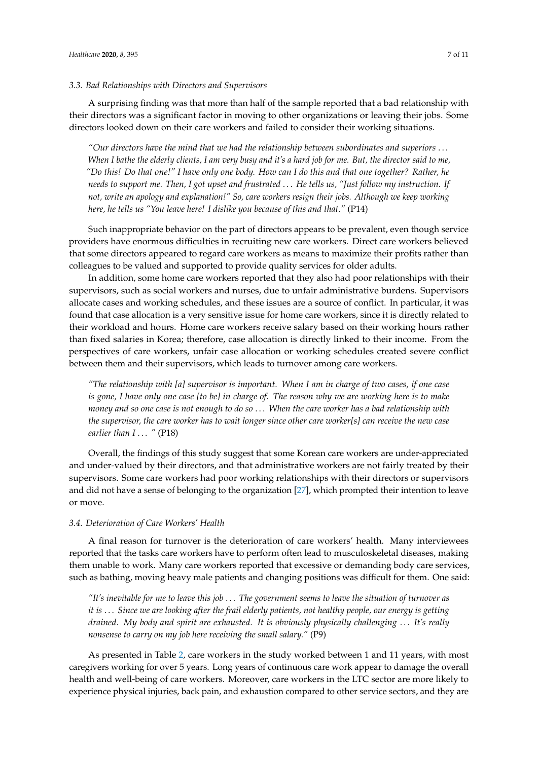#### *3.3. Bad Relationships with Directors and Supervisors*

A surprising finding was that more than half of the sample reported that a bad relationship with their directors was a significant factor in moving to other organizations or leaving their jobs. Some directors looked down on their care workers and failed to consider their working situations.

*"Our directors have the mind that we had the relationship between subordinates and superiors* . . . *When I bathe the elderly clients, I am very busy and it's a hard job for me. But, the director said to me, "Do this! Do that one!" I have only one body. How can I do this and that one together? Rather, he needs to support me. Then, I got upset and frustrated* . . . *He tells us, "Just follow my instruction. If not, write an apology and explanation!" So, care workers resign their jobs. Although we keep working here, he tells us "You leave here! I dislike you because of this and that."* (P14)

Such inappropriate behavior on the part of directors appears to be prevalent, even though service providers have enormous difficulties in recruiting new care workers. Direct care workers believed that some directors appeared to regard care workers as means to maximize their profits rather than colleagues to be valued and supported to provide quality services for older adults.

In addition, some home care workers reported that they also had poor relationships with their supervisors, such as social workers and nurses, due to unfair administrative burdens. Supervisors allocate cases and working schedules, and these issues are a source of conflict. In particular, it was found that case allocation is a very sensitive issue for home care workers, since it is directly related to their workload and hours. Home care workers receive salary based on their working hours rather than fixed salaries in Korea; therefore, case allocation is directly linked to their income. From the perspectives of care workers, unfair case allocation or working schedules created severe conflict between them and their supervisors, which leads to turnover among care workers.

*"The relationship with [a] supervisor is important. When I am in charge of two cases, if one case is gone, I have only one case [to be] in charge of. The reason why we are working here is to make money and so one case is not enough to do so* . . . *When the care worker has a bad relationship with the supervisor, the care worker has to wait longer since other care worker[s] can receive the new case earlier than I* . . . *"* (P18)

Overall, the findings of this study suggest that some Korean care workers are under-appreciated and under-valued by their directors, and that administrative workers are not fairly treated by their supervisors. Some care workers had poor working relationships with their directors or supervisors and did not have a sense of belonging to the organization [\[27\]](#page-9-19), which prompted their intention to leave or move.

#### *3.4. Deterioration of Care Workers' Health*

A final reason for turnover is the deterioration of care workers' health. Many interviewees reported that the tasks care workers have to perform often lead to musculoskeletal diseases, making them unable to work. Many care workers reported that excessive or demanding body care services, such as bathing, moving heavy male patients and changing positions was difficult for them. One said:

*"It's inevitable for me to leave this job* . . . *The government seems to leave the situation of turnover as it is* . . . *Since we are looking after the frail elderly patients, not healthy people, our energy is getting drained. My body and spirit are exhausted. It is obviously physically challenging* . . . *It's really nonsense to carry on my job here receiving the small salary."* (P9)

As presented in Table [2,](#page-4-0) care workers in the study worked between 1 and 11 years, with most caregivers working for over 5 years. Long years of continuous care work appear to damage the overall health and well-being of care workers. Moreover, care workers in the LTC sector are more likely to experience physical injuries, back pain, and exhaustion compared to other service sectors, and they are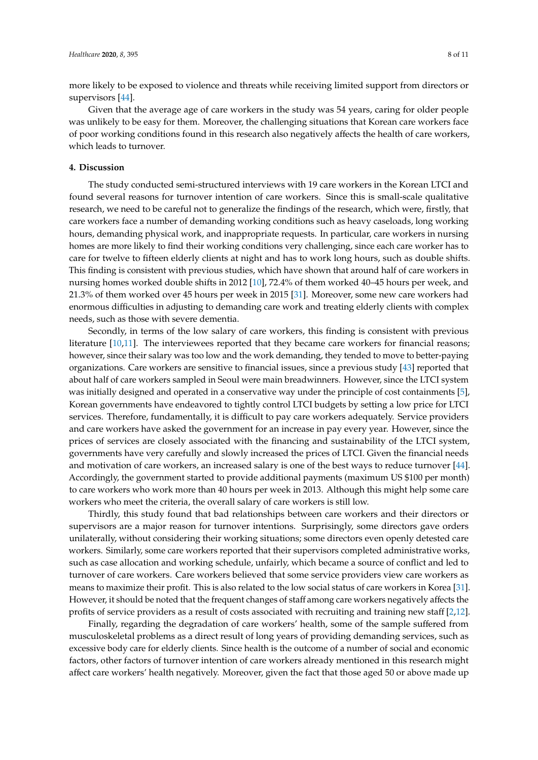more likely to be exposed to violence and threats while receiving limited support from directors or supervisors [\[44\]](#page-10-14).

Given that the average age of care workers in the study was 54 years, caring for older people was unlikely to be easy for them. Moreover, the challenging situations that Korean care workers face of poor working conditions found in this research also negatively affects the health of care workers, which leads to turnover.

## **4. Discussion**

The study conducted semi-structured interviews with 19 care workers in the Korean LTCI and found several reasons for turnover intention of care workers. Since this is small-scale qualitative research, we need to be careful not to generalize the findings of the research, which were, firstly, that care workers face a number of demanding working conditions such as heavy caseloads, long working hours, demanding physical work, and inappropriate requests. In particular, care workers in nursing homes are more likely to find their working conditions very challenging, since each care worker has to care for twelve to fifteen elderly clients at night and has to work long hours, such as double shifts. This finding is consistent with previous studies, which have shown that around half of care workers in nursing homes worked double shifts in 2012 [\[10\]](#page-9-4), 72.4% of them worked 40–45 hours per week, and 21.3% of them worked over 45 hours per week in 2015 [\[31\]](#page-10-1). Moreover, some new care workers had enormous difficulties in adjusting to demanding care work and treating elderly clients with complex needs, such as those with severe dementia.

Secondly, in terms of the low salary of care workers, this finding is consistent with previous literature [\[10,](#page-9-4)[11\]](#page-9-2). The interviewees reported that they became care workers for financial reasons; however, since their salary was too low and the work demanding, they tended to move to better-paying organizations. Care workers are sensitive to financial issues, since a previous study [\[43\]](#page-10-13) reported that about half of care workers sampled in Seoul were main breadwinners. However, since the LTCI system was initially designed and operated in a conservative way under the principle of cost containments [\[5\]](#page-8-3), Korean governments have endeavored to tightly control LTCI budgets by setting a low price for LTCI services. Therefore, fundamentally, it is difficult to pay care workers adequately. Service providers and care workers have asked the government for an increase in pay every year. However, since the prices of services are closely associated with the financing and sustainability of the LTCI system, governments have very carefully and slowly increased the prices of LTCI. Given the financial needs and motivation of care workers, an increased salary is one of the best ways to reduce turnover [\[44\]](#page-10-14). Accordingly, the government started to provide additional payments (maximum US \$100 per month) to care workers who work more than 40 hours per week in 2013. Although this might help some care workers who meet the criteria, the overall salary of care workers is still low.

Thirdly, this study found that bad relationships between care workers and their directors or supervisors are a major reason for turnover intentions. Surprisingly, some directors gave orders unilaterally, without considering their working situations; some directors even openly detested care workers. Similarly, some care workers reported that their supervisors completed administrative works, such as case allocation and working schedule, unfairly, which became a source of conflict and led to turnover of care workers. Care workers believed that some service providers view care workers as means to maximize their profit. This is also related to the low social status of care workers in Korea [\[31\]](#page-10-1). However, it should be noted that the frequent changes of staff among care workers negatively affects the profits of service providers as a result of costs associated with recruiting and training new staff [\[2,](#page-8-4)[12\]](#page-9-5).

Finally, regarding the degradation of care workers' health, some of the sample suffered from musculoskeletal problems as a direct result of long years of providing demanding services, such as excessive body care for elderly clients. Since health is the outcome of a number of social and economic factors, other factors of turnover intention of care workers already mentioned in this research might affect care workers' health negatively. Moreover, given the fact that those aged 50 or above made up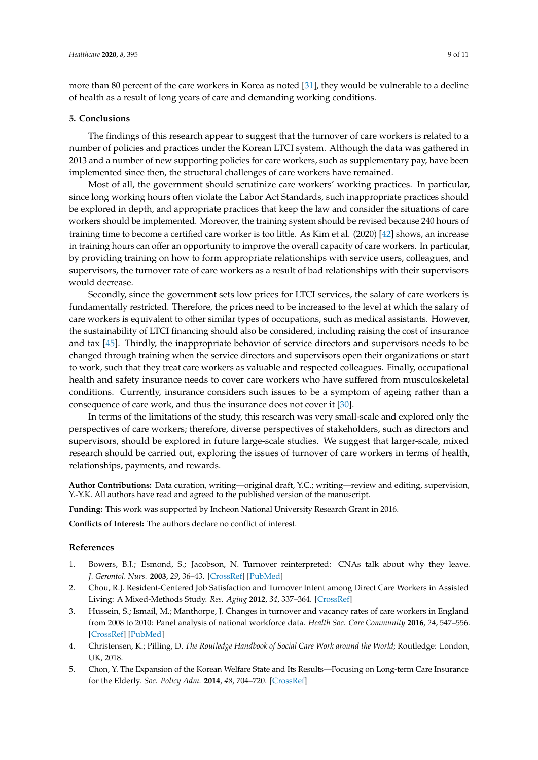more than 80 percent of the care workers in Korea as noted [\[31\]](#page-10-1), they would be vulnerable to a decline of health as a result of long years of care and demanding working conditions.

#### **5. Conclusions**

The findings of this research appear to suggest that the turnover of care workers is related to a number of policies and practices under the Korean LTCI system. Although the data was gathered in 2013 and a number of new supporting policies for care workers, such as supplementary pay, have been implemented since then, the structural challenges of care workers have remained.

Most of all, the government should scrutinize care workers' working practices. In particular, since long working hours often violate the Labor Act Standards, such inappropriate practices should be explored in depth, and appropriate practices that keep the law and consider the situations of care workers should be implemented. Moreover, the training system should be revised because 240 hours of training time to become a certified care worker is too little. As Kim et al. (2020) [\[42\]](#page-10-12) shows, an increase in training hours can offer an opportunity to improve the overall capacity of care workers. In particular, by providing training on how to form appropriate relationships with service users, colleagues, and supervisors, the turnover rate of care workers as a result of bad relationships with their supervisors would decrease.

Secondly, since the government sets low prices for LTCI services, the salary of care workers is fundamentally restricted. Therefore, the prices need to be increased to the level at which the salary of care workers is equivalent to other similar types of occupations, such as medical assistants. However, the sustainability of LTCI financing should also be considered, including raising the cost of insurance and tax [\[45\]](#page-10-15). Thirdly, the inappropriate behavior of service directors and supervisors needs to be changed through training when the service directors and supervisors open their organizations or start to work, such that they treat care workers as valuable and respected colleagues. Finally, occupational health and safety insurance needs to cover care workers who have suffered from musculoskeletal conditions. Currently, insurance considers such issues to be a symptom of ageing rather than a consequence of care work, and thus the insurance does not cover it [\[30\]](#page-10-0).

In terms of the limitations of the study, this research was very small-scale and explored only the perspectives of care workers; therefore, diverse perspectives of stakeholders, such as directors and supervisors, should be explored in future large-scale studies. We suggest that larger-scale, mixed research should be carried out, exploring the issues of turnover of care workers in terms of health, relationships, payments, and rewards.

**Author Contributions:** Data curation, writing—original draft, Y.C.; writing—review and editing, supervision, Y.-Y.K. All authors have read and agreed to the published version of the manuscript.

**Funding:** This work was supported by Incheon National University Research Grant in 2016.

**Conflicts of Interest:** The authors declare no conflict of interest.

## **References**

- <span id="page-8-0"></span>1. Bowers, B.J.; Esmond, S.; Jacobson, N. Turnover reinterpreted: CNAs talk about why they leave. *J. Gerontol. Nurs.* **2003**, *29*, 36–43. [\[CrossRef\]](http://dx.doi.org/10.3928/0098-9134-20030301-09) [\[PubMed\]](http://www.ncbi.nlm.nih.gov/pubmed/12683306)
- <span id="page-8-4"></span>2. Chou, R.J. Resident-Centered Job Satisfaction and Turnover Intent among Direct Care Workers in Assisted Living: A Mixed-Methods Study. *Res. Aging* **2012**, *34*, 337–364. [\[CrossRef\]](http://dx.doi.org/10.1177/0164027511428456)
- <span id="page-8-1"></span>3. Hussein, S.; Ismail, M.; Manthorpe, J. Changes in turnover and vacancy rates of care workers in England from 2008 to 2010: Panel analysis of national workforce data. *Health Soc. Care Community* **2016**, *24*, 547–556. [\[CrossRef\]](http://dx.doi.org/10.1111/hsc.12214) [\[PubMed\]](http://www.ncbi.nlm.nih.gov/pubmed/25736156)
- <span id="page-8-2"></span>4. Christensen, K.; Pilling, D. *The Routledge Handbook of Social Care Work around the World*; Routledge: London, UK, 2018.
- <span id="page-8-3"></span>5. Chon, Y. The Expansion of the Korean Welfare State and Its Results—Focusing on Long-term Care Insurance for the Elderly. *Soc. Policy Adm.* **2014**, *48*, 704–720. [\[CrossRef\]](http://dx.doi.org/10.1111/spol.12092)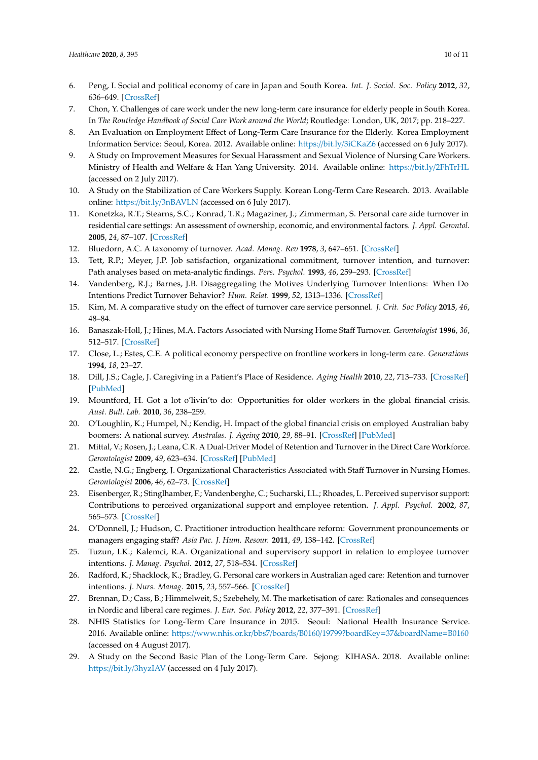- 6. Peng, I. Social and political economy of care in Japan and South Korea. *Int. J. Sociol. Soc. Policy* **2012**, *32*, 636–649. [\[CrossRef\]](http://dx.doi.org/10.1108/01443331211280683)
- <span id="page-9-0"></span>7. Chon, Y. Challenges of care work under the new long-term care insurance for elderly people in South Korea. In *The Routledge Handbook of Social Care Work around the World*; Routledge: London, UK, 2017; pp. 218–227.
- <span id="page-9-1"></span>8. An Evaluation on Employment Effect of Long-Term Care Insurance for the Elderly. Korea Employment Information Service: Seoul, Korea. 2012. Available online: https://bit.ly/[3iCKaZ6](https://bit.ly/3iCKaZ6) (accessed on 6 July 2017).
- <span id="page-9-3"></span>9. A Study on Improvement Measures for Sexual Harassment and Sexual Violence of Nursing Care Workers. Ministry of Health and Welfare & Han Yang University. 2014. Available online: https://bit.ly/[2FhTrHL](https://bit.ly/2FhTrHL) (accessed on 2 July 2017).
- <span id="page-9-4"></span>10. A Study on the Stabilization of Care Workers Supply. Korean Long-Term Care Research. 2013. Available online: https://bit.ly/[3nBAVLN](https://bit.ly/3nBAVLN) (accessed on 6 July 2017).
- <span id="page-9-2"></span>11. Konetzka, R.T.; Stearns, S.C.; Konrad, T.R.; Magaziner, J.; Zimmerman, S. Personal care aide turnover in residential care settings: An assessment of ownership, economic, and environmental factors. *J. Appl. Gerontol.* **2005**, *24*, 87–107. [\[CrossRef\]](http://dx.doi.org/10.1177/0733464804270854)
- <span id="page-9-5"></span>12. Bluedorn, A.C. A taxonomy of turnover. *Acad. Manag. Rev* **1978**, *3*, 647–651. [\[CrossRef\]](http://dx.doi.org/10.2307/257553)
- <span id="page-9-6"></span>13. Tett, R.P.; Meyer, J.P. Job satisfaction, organizational commitment, turnover intention, and turnover: Path analyses based on meta-analytic findings. *Pers. Psychol.* **1993**, *46*, 259–293. [\[CrossRef\]](http://dx.doi.org/10.1111/j.1744-6570.1993.tb00874.x)
- <span id="page-9-8"></span>14. Vandenberg, R.J.; Barnes, J.B. Disaggregating the Motives Underlying Turnover Intentions: When Do Intentions Predict Turnover Behavior? *Hum. Relat.* **1999**, *52*, 1313–1336. [\[CrossRef\]](http://dx.doi.org/10.1177/001872679905201005)
- <span id="page-9-7"></span>15. Kim, M. A comparative study on the effect of turnover care service personnel. *J. Crit. Soc Policy* **2015**, *46*, 48–84.
- <span id="page-9-9"></span>16. Banaszak-Holl, J.; Hines, M.A. Factors Associated with Nursing Home Staff Turnover. *Gerontologist* **1996**, *36*, 512–517. [\[CrossRef\]](http://dx.doi.org/10.1093/geront/36.4.512)
- <span id="page-9-10"></span>17. Close, L.; Estes, C.E. A political economy perspective on frontline workers in long-term care. *Generations* **1994**, *18*, 23–27.
- <span id="page-9-15"></span>18. Dill, J.S.; Cagle, J. Caregiving in a Patient's Place of Residence. *Aging Health* **2010**, *22*, 713–733. [\[CrossRef\]](http://dx.doi.org/10.1177/0898264310373390) [\[PubMed\]](http://www.ncbi.nlm.nih.gov/pubmed/20584968)
- <span id="page-9-11"></span>19. Mountford, H. Got a lot o'livin'to do: Opportunities for older workers in the global financial crisis. *Aust. Bull. Lab.* **2010**, *36*, 238–259.
- <span id="page-9-12"></span>20. O'Loughlin, K.; Humpel, N.; Kendig, H. Impact of the global financial crisis on employed Australian baby boomers: A national survey. *Australas. J. Ageing* **2010**, *29*, 88–91. [\[CrossRef\]](http://dx.doi.org/10.1111/j.1741-6612.2010.00425.x) [\[PubMed\]](http://www.ncbi.nlm.nih.gov/pubmed/20553540)
- <span id="page-9-13"></span>21. Mittal, V.; Rosen, J.; Leana, C.R. A Dual-Driver Model of Retention and Turnover in the Direct Care Workforce. *Gerontologist* **2009**, *49*, 623–634. [\[CrossRef\]](http://dx.doi.org/10.1093/geront/gnp054) [\[PubMed\]](http://www.ncbi.nlm.nih.gov/pubmed/19491356)
- <span id="page-9-14"></span>22. Castle, N.G.; Engberg, J. Organizational Characteristics Associated with Staff Turnover in Nursing Homes. *Gerontologist* **2006**, *46*, 62–73. [\[CrossRef\]](http://dx.doi.org/10.1093/geront/46.1.62)
- <span id="page-9-16"></span>23. Eisenberger, R.; Stinglhamber, F.; Vandenberghe, C.; Sucharski, I.L.; Rhoades, L. Perceived supervisor support: Contributions to perceived organizational support and employee retention. *J. Appl. Psychol.* **2002**, *87*, 565–573. [\[CrossRef\]](http://dx.doi.org/10.1037/0021-9010.87.3.565)
- <span id="page-9-17"></span>24. O'Donnell, J.; Hudson, C. Practitioner introduction healthcare reform: Government pronouncements or managers engaging staff? *Asia Pac. J. Hum. Resour.* **2011**, *49*, 138–142. [\[CrossRef\]](http://dx.doi.org/10.1177/1038411111401508)
- 25. Tuzun, I.K.; Kalemci, R.A. Organizational and supervisory support in relation to employee turnover intentions. *J. Manag. Psychol.* **2012**, *27*, 518–534. [\[CrossRef\]](http://dx.doi.org/10.1108/02683941211235418)
- <span id="page-9-18"></span>26. Radford, K.; Shacklock, K.; Bradley, G. Personal care workers in Australian aged care: Retention and turnover intentions. *J. Nurs. Manag.* **2015**, *23*, 557–566. [\[CrossRef\]](http://dx.doi.org/10.1111/jonm.12172)
- <span id="page-9-19"></span>27. Brennan, D.; Cass, B.; Himmelweit, S.; Szebehely, M. The marketisation of care: Rationales and consequences in Nordic and liberal care regimes. *J. Eur. Soc. Policy* **2012**, *22*, 377–391. [\[CrossRef\]](http://dx.doi.org/10.1177/0958928712449772)
- <span id="page-9-20"></span>28. NHIS Statistics for Long-Term Care Insurance in 2015. Seoul: National Health Insurance Service. 2016. Available online: https://www.nhis.or.kr/bbs7/boards/B0160/[19799?boardKey](https://www.nhis.or.kr/bbs7/boards/B0160/19799?boardKey=37&boardName=B0160)=37&boardName=B0160 (accessed on 4 August 2017).
- <span id="page-9-21"></span>29. A Study on the Second Basic Plan of the Long-Term Care. Sejong: KIHASA. 2018. Available online: https://bit.ly/[3hyzIAV](https://bit.ly/3hyzIAV) (accessed on 4 July 2017).